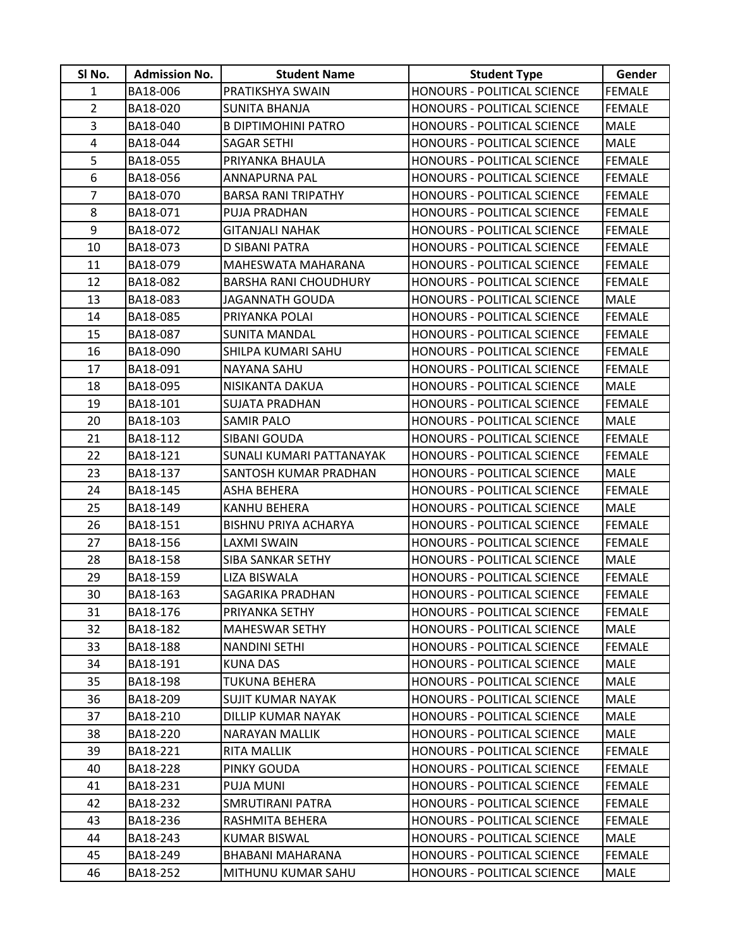| SI No.         | <b>Admission No.</b> | <b>Student Name</b>          | <b>Student Type</b>                | Gender        |
|----------------|----------------------|------------------------------|------------------------------------|---------------|
| $\mathbf{1}$   | BA18-006             | PRATIKSHYA SWAIN             | HONOURS - POLITICAL SCIENCE        | <b>FEMALE</b> |
| $\overline{2}$ | BA18-020             | SUNITA BHANJA                | HONOURS - POLITICAL SCIENCE        | <b>FEMALE</b> |
| $\overline{3}$ | BA18-040             | <b>B DIPTIMOHINI PATRO</b>   | HONOURS - POLITICAL SCIENCE        | <b>MALE</b>   |
| 4              | BA18-044             | <b>SAGAR SETHI</b>           | <b>HONOURS - POLITICAL SCIENCE</b> | <b>MALE</b>   |
| 5              | BA18-055             | PRIYANKA BHAULA              | HONOURS - POLITICAL SCIENCE        | <b>FEMALE</b> |
| 6              | BA18-056             | ANNAPURNA PAL                | HONOURS - POLITICAL SCIENCE        | <b>FEMALE</b> |
| $\overline{7}$ | BA18-070             | <b>BARSA RANI TRIPATHY</b>   | <b>HONOURS - POLITICAL SCIENCE</b> | <b>FEMALE</b> |
| 8              | BA18-071             | PUJA PRADHAN                 | HONOURS - POLITICAL SCIENCE        | <b>FEMALE</b> |
| 9              | BA18-072             | GITANJALI NAHAK              | <b>HONOURS - POLITICAL SCIENCE</b> | <b>FEMALE</b> |
| 10             | BA18-073             | D SIBANI PATRA               | HONOURS - POLITICAL SCIENCE        | <b>FEMALE</b> |
| 11             | BA18-079             | MAHESWATA MAHARANA           | HONOURS - POLITICAL SCIENCE        | <b>FEMALE</b> |
| 12             | BA18-082             | <b>BARSHA RANI CHOUDHURY</b> | HONOURS - POLITICAL SCIENCE        | <b>FEMALE</b> |
| 13             | BA18-083             | <b>JAGANNATH GOUDA</b>       | HONOURS - POLITICAL SCIENCE        | <b>MALE</b>   |
| 14             | BA18-085             | PRIYANKA POLAI               | <b>HONOURS - POLITICAL SCIENCE</b> | <b>FEMALE</b> |
| 15             | BA18-087             | <b>SUNITA MANDAL</b>         | HONOURS - POLITICAL SCIENCE        | <b>FEMALE</b> |
| 16             | BA18-090             | SHILPA KUMARI SAHU           | HONOURS - POLITICAL SCIENCE        | <b>FEMALE</b> |
| 17             | BA18-091             | <b>NAYANA SAHU</b>           | HONOURS - POLITICAL SCIENCE        | <b>FEMALE</b> |
| 18             | BA18-095             | NISIKANTA DAKUA              | HONOURS - POLITICAL SCIENCE        | <b>MALE</b>   |
| 19             | BA18-101             | SUJATA PRADHAN               | <b>HONOURS - POLITICAL SCIENCE</b> | <b>FEMALE</b> |
| 20             | BA18-103             | <b>SAMIR PALO</b>            | HONOURS - POLITICAL SCIENCE        | <b>MALE</b>   |
| 21             | BA18-112             | SIBANI GOUDA                 | HONOURS - POLITICAL SCIENCE        | <b>FEMALE</b> |
| 22             | BA18-121             | SUNALI KUMARI PATTANAYAK     | HONOURS - POLITICAL SCIENCE        | <b>FEMALE</b> |
| 23             | BA18-137             | SANTOSH KUMAR PRADHAN        | <b>HONOURS - POLITICAL SCIENCE</b> | <b>MALE</b>   |
| 24             | BA18-145             | ASHA BEHERA                  | HONOURS - POLITICAL SCIENCE        | <b>FEMALE</b> |
| 25             | BA18-149             | KANHU BEHERA                 | HONOURS - POLITICAL SCIENCE        | <b>MALE</b>   |
| 26             | BA18-151             | <b>BISHNU PRIYA ACHARYA</b>  | HONOURS - POLITICAL SCIENCE        | <b>FEMALE</b> |
| 27             | BA18-156             | <b>LAXMI SWAIN</b>           | HONOURS - POLITICAL SCIENCE        | <b>FEMALE</b> |
| 28             | BA18-158             | <b>SIBA SANKAR SETHY</b>     | HONOURS - POLITICAL SCIENCE        | <b>MALE</b>   |
| 29             | BA18-159             | <b>LIZA BISWALA</b>          | HONOURS - POLITICAL SCIENCE        | <b>FEMALE</b> |
| 30             | BA18-163             | SAGARIKA PRADHAN             | HONOURS - POLITICAL SCIENCE        | <b>FEMALE</b> |
| 31             | BA18-176             | PRIYANKA SETHY               | HONOURS - POLITICAL SCIENCE        | <b>FEMALE</b> |
| 32             | BA18-182             | <b>MAHESWAR SETHY</b>        | HONOURS - POLITICAL SCIENCE        | <b>MALE</b>   |
| 33             | BA18-188             | <b>NANDINI SETHI</b>         | HONOURS - POLITICAL SCIENCE        | <b>FEMALE</b> |
| 34             | BA18-191             | <b>KUNA DAS</b>              | HONOURS - POLITICAL SCIENCE        | <b>MALE</b>   |
| 35             | BA18-198             | TUKUNA BEHERA                | HONOURS - POLITICAL SCIENCE        | <b>MALE</b>   |
| 36             | BA18-209             | <b>SUJIT KUMAR NAYAK</b>     | HONOURS - POLITICAL SCIENCE        | <b>MALE</b>   |
| 37             | BA18-210             | DILLIP KUMAR NAYAK           | HONOURS - POLITICAL SCIENCE        | <b>MALE</b>   |
| 38             | BA18-220             | NARAYAN MALLIK               | <b>HONOURS - POLITICAL SCIENCE</b> | <b>MALE</b>   |
| 39             | BA18-221             | <b>RITA MALLIK</b>           | HONOURS - POLITICAL SCIENCE        | <b>FEMALE</b> |
| 40             | BA18-228             | PINKY GOUDA                  | HONOURS - POLITICAL SCIENCE        | <b>FEMALE</b> |
| 41             | BA18-231             | PUJA MUNI                    | HONOURS - POLITICAL SCIENCE        | <b>FEMALE</b> |
| 42             | BA18-232             | SMRUTIRANI PATRA             | HONOURS - POLITICAL SCIENCE        | <b>FEMALE</b> |
| 43             | BA18-236             | RASHMITA BEHERA              | HONOURS - POLITICAL SCIENCE        | <b>FEMALE</b> |
| 44             | BA18-243             | <b>KUMAR BISWAL</b>          | HONOURS - POLITICAL SCIENCE        | <b>MALE</b>   |
| 45             | BA18-249             | BHABANI MAHARANA             | <b>HONOURS - POLITICAL SCIENCE</b> | <b>FEMALE</b> |
| 46             | BA18-252             | MITHUNU KUMAR SAHU           | HONOURS - POLITICAL SCIENCE        | MALE          |